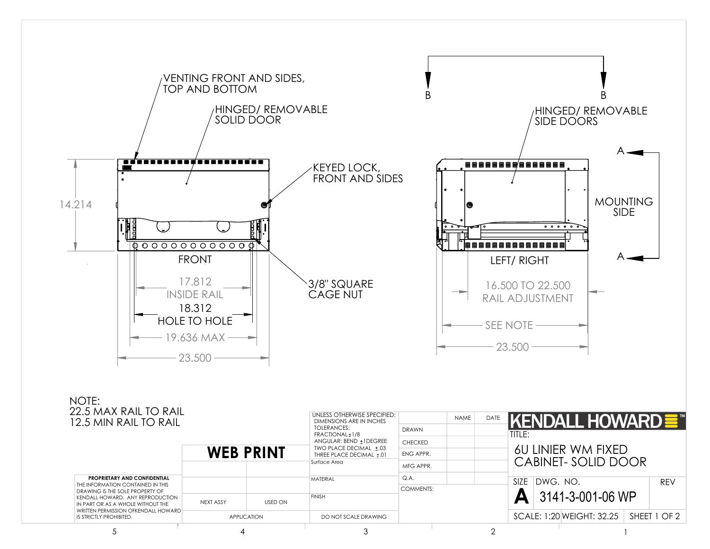